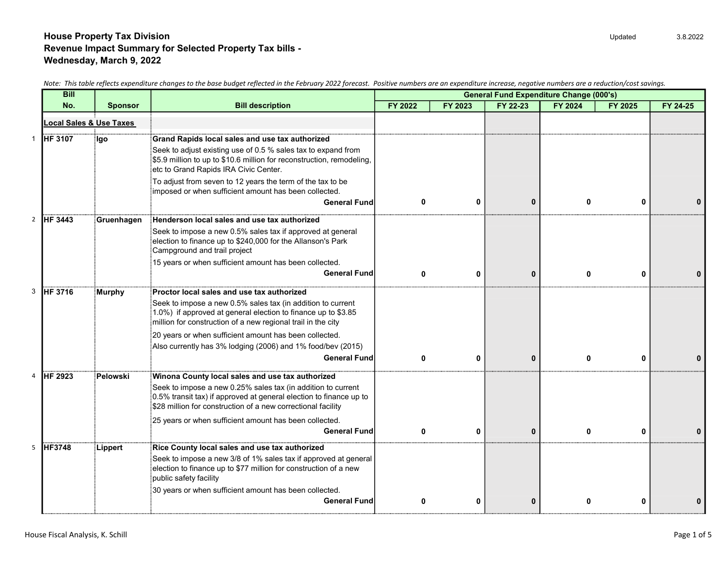|    | <b>Bill</b>             |                |                                                                                                                                                                                                                                    |         |          | <b>General Fund Expenditure Change (000's)</b> |          |         |          |  |
|----|-------------------------|----------------|------------------------------------------------------------------------------------------------------------------------------------------------------------------------------------------------------------------------------------|---------|----------|------------------------------------------------|----------|---------|----------|--|
|    | No.                     | <b>Sponsor</b> | <b>Bill description</b>                                                                                                                                                                                                            | FY 2022 | FY 2023  | FY 22-23                                       | FY 2024  | FY 2025 | FY 24-25 |  |
|    | Local Sales & Use Taxes |                |                                                                                                                                                                                                                                    |         |          |                                                |          |         |          |  |
|    | <b>HF 3107</b>          | ilgo           | Grand Rapids local sales and use tax authorized<br>Seek to adjust existing use of 0.5 % sales tax to expand from<br>\$5.9 million to up to \$10.6 million for reconstruction, remodeling,<br>etc to Grand Rapids IRA Civic Center. |         |          |                                                |          |         |          |  |
|    |                         |                | $\frac{1}{3}$ To adjust from seven to 12 years the term of the tax to be<br>imposed or when sufficient amount has been collected.                                                                                                  |         |          |                                                |          |         |          |  |
|    |                         |                | <b>General Fund</b>                                                                                                                                                                                                                | O       | 0        | $\bf{0}$                                       | ŋ        | n       |          |  |
|    | <b>IHF 3443</b>         | Gruenhagen     | Henderson local sales and use tax authorized                                                                                                                                                                                       |         |          |                                                |          |         |          |  |
|    |                         |                | Seek to impose a new 0.5% sales tax if approved at general<br>election to finance up to \$240,000 for the Allanson's Park<br>Campground and trail project                                                                          |         |          |                                                |          |         |          |  |
|    |                         |                | 15 years or when sufficient amount has been collected.                                                                                                                                                                             |         |          |                                                |          |         |          |  |
|    |                         |                | <b>General Fund</b>                                                                                                                                                                                                                | ŋ       | 0        | $\mathbf{0}$                                   | 0        | U       |          |  |
| 3. | <b>HF 3716</b>          | Murphy         | Proctor local sales and use tax authorized                                                                                                                                                                                         |         |          |                                                |          |         |          |  |
|    |                         |                | Seek to impose a new 0.5% sales tax (in addition to current<br>$(1.0\%)$ if approved at general election to finance up to \$3.85<br>million for construction of a new regional trail in the city                                   |         |          |                                                |          |         |          |  |
|    |                         |                | 20 years or when sufficient amount has been collected.<br>Also currently has 3% lodging (2006) and 1% food/bev (2015)                                                                                                              |         |          |                                                |          |         |          |  |
|    |                         |                | <b>General Fund</b>                                                                                                                                                                                                                |         | 0        | $\Omega$                                       |          |         |          |  |
|    | <b>IHF 2923</b>         | Pelowski       | Winona County local sales and use tax authorized                                                                                                                                                                                   |         |          |                                                |          |         |          |  |
|    |                         |                | Seek to impose a new 0.25% sales tax (in addition to current<br>0.5% transit tax) if approved at general election to finance up to<br>\$28 million for construction of a new correctional facility                                 |         |          |                                                |          |         |          |  |
|    |                         |                | 25 years or when sufficient amount has been collected.                                                                                                                                                                             |         |          |                                                |          |         |          |  |
|    |                         |                | <b>General Fund</b>                                                                                                                                                                                                                | 0       | $\bf{0}$ | $\bf{0}$                                       | $\Omega$ | n       |          |  |
|    | <b>HF3748</b>           | Lippert        | Rice County local sales and use tax authorized                                                                                                                                                                                     |         |          |                                                |          |         |          |  |
|    |                         |                | Seek to impose a new 3/8 of 1% sales tax if approved at general<br>$\frac{1}{2}$ election to finance up to \$77 million for construction of a new<br>public safety facility                                                        |         |          |                                                |          |         |          |  |
|    |                         |                | 30 years or when sufficient amount has been collected.                                                                                                                                                                             |         |          |                                                |          |         |          |  |
|    |                         |                | <b>General Fund</b>                                                                                                                                                                                                                | 0       | 0        | $\bf{0}$                                       |          | ŋ       |          |  |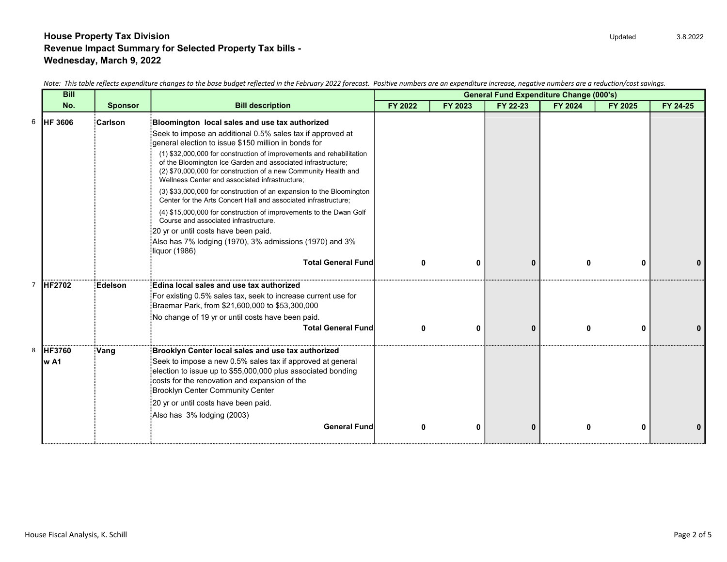|       | <b>Bill</b>     |                |                                                                                                                                                                                                                                                           | <b>General Fund Expenditure Change (000's)</b> |          |              |         |         |          |
|-------|-----------------|----------------|-----------------------------------------------------------------------------------------------------------------------------------------------------------------------------------------------------------------------------------------------------------|------------------------------------------------|----------|--------------|---------|---------|----------|
|       | No.             | <b>Sponsor</b> | <b>Bill description</b>                                                                                                                                                                                                                                   | FY 2022                                        | FY 2023  | FY 22-23     | FY 2024 | FY 2025 | FY 24-25 |
|       | <b>IHF 3606</b> | Carlson        | Bloomington local sales and use tax authorized                                                                                                                                                                                                            |                                                |          |              |         |         |          |
|       |                 |                | Seek to impose an additional 0.5% sales tax if approved at                                                                                                                                                                                                |                                                |          |              |         |         |          |
|       |                 |                | general election to issue \$150 million in bonds for                                                                                                                                                                                                      |                                                |          |              |         |         |          |
|       |                 |                | (1) \$32,000,000 for construction of improvements and rehabilitation<br>of the Bloomington Ice Garden and associated infrastructure;<br>(2) \$70,000,000 for construction of a new Community Health and<br>Wellness Center and associated infrastructure; |                                                |          |              |         |         |          |
|       |                 |                | (3) \$33,000,000 for construction of an expansion to the Bloomington<br>Center for the Arts Concert Hall and associated infrastructure;                                                                                                                   |                                                |          |              |         |         |          |
|       |                 |                | (4) \$15,000,000 for construction of improvements to the Dwan Golf<br>Course and associated infrastructure.                                                                                                                                               |                                                |          |              |         |         |          |
|       |                 |                | 20 yr or until costs have been paid.                                                                                                                                                                                                                      |                                                |          |              |         |         |          |
|       |                 |                | Also has 7% lodging (1970), 3% admissions (1970) and 3%<br>Iiquor (1986)                                                                                                                                                                                  |                                                |          |              |         |         |          |
|       |                 |                | <b>Total General Fund</b>                                                                                                                                                                                                                                 | 0                                              | 0        | $\bf{0}$     | 0       | 0       |          |
|       | <b>HF2702</b>   | Edelson        | Edina local sales and use tax authorized                                                                                                                                                                                                                  |                                                |          |              |         |         |          |
|       |                 |                | For existing 0.5% sales tax, seek to increase current use for<br>Braemar Park, from \$21,600,000 to \$53,300,000                                                                                                                                          |                                                |          |              |         |         |          |
|       |                 |                | No change of 19 yr or until costs have been paid.                                                                                                                                                                                                         |                                                |          |              |         |         |          |
|       |                 |                | <b>Total General Fund</b>                                                                                                                                                                                                                                 | 0                                              | $\bf{0}$ | $\mathbf{0}$ | 0       | 0       |          |
|       | <b>HF3760</b>   | Vang           | Brooklyn Center local sales and use tax authorized                                                                                                                                                                                                        |                                                |          |              |         |         |          |
| lw A1 |                 |                | Seek to impose a new 0.5% sales tax if approved at general<br>election to issue up to \$55,000,000 plus associated bonding<br>costs for the renovation and expansion of the<br>Brooklyn Center Community Center                                           |                                                |          |              |         |         |          |
|       |                 |                | 20 yr or until costs have been paid.                                                                                                                                                                                                                      |                                                |          |              |         |         |          |
|       |                 |                | Also has 3% lodging (2003)                                                                                                                                                                                                                                |                                                |          |              |         |         |          |
|       |                 |                | <b>General Fund</b>                                                                                                                                                                                                                                       |                                                | O        | 0            | n       | ŋ       |          |
|       |                 |                |                                                                                                                                                                                                                                                           |                                                |          |              |         |         |          |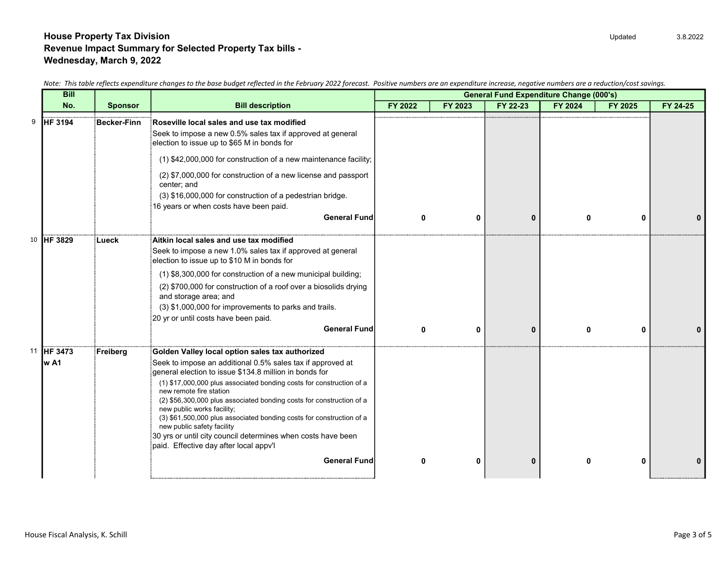|    | <b>Bill</b>     |                    |                                                                                                                                                                            | <b>General Fund Expenditure Change (000's)</b> |         |                                |              |         |          |  |
|----|-----------------|--------------------|----------------------------------------------------------------------------------------------------------------------------------------------------------------------------|------------------------------------------------|---------|--------------------------------|--------------|---------|----------|--|
|    | No.             | <b>Sponsor</b>     | <b>Bill description</b>                                                                                                                                                    | FY 2022                                        | FY 2023 | FY 22-23                       | FY 2024      | FY 2025 | FY 24-25 |  |
| 9  | <b>HF 3194</b>  | <b>Becker-Finn</b> | Roseville local sales and use tax modified<br>Seek to impose a new 0.5% sales tax if approved at general<br>election to issue up to \$65 M in bonds for                    |                                                |         |                                |              |         |          |  |
|    |                 |                    | (1) \$42,000,000 for construction of a new maintenance facility;                                                                                                           |                                                |         |                                |              |         |          |  |
|    |                 |                    | (2) \$7,000,000 for construction of a new license and passport<br>center; and                                                                                              |                                                |         |                                |              |         |          |  |
|    |                 |                    | (3) \$16,000,000 for construction of a pedestrian bridge.<br>16 years or when costs have been paid.                                                                        |                                                |         |                                |              |         |          |  |
|    |                 |                    | <b>General Fund</b>                                                                                                                                                        | O                                              | 0       | $\bf{0}$                       |              | O       |          |  |
| 10 | <b>IHF 3829</b> | ∶Lueck             | Aitkin local sales and use tax modified                                                                                                                                    |                                                |         |                                |              |         |          |  |
|    |                 |                    | Seek to impose a new 1.0% sales tax if approved at general<br>election to issue up to \$10 M in bonds for                                                                  |                                                |         |                                |              |         |          |  |
|    |                 |                    | (1) \$8,300,000 for construction of a new municipal building;                                                                                                              |                                                |         |                                |              |         |          |  |
|    |                 |                    | (2) \$700,000 for construction of a roof over a biosolids drying<br>and storage area; and                                                                                  |                                                |         |                                |              |         |          |  |
|    |                 |                    | (3) \$1,000,000 for improvements to parks and trails.                                                                                                                      |                                                |         |                                |              |         |          |  |
|    |                 |                    | 20 yr or until costs have been paid.<br><b>General Fund</b>                                                                                                                | $\mathbf{0}$                                   |         |                                | $\mathbf{0}$ | 0       |          |  |
|    |                 |                    |                                                                                                                                                                            |                                                |         |                                |              |         |          |  |
| 11 | <b>HF 3473</b>  | Freiberg           | Golden Valley local option sales tax authorized                                                                                                                            |                                                |         |                                |              |         |          |  |
|    | w A1            |                    | Seek to impose an additional 0.5% sales tax if approved at<br>general election to issue \$134.8 million in bonds for                                                       |                                                |         |                                |              |         |          |  |
|    |                 |                    | (1) \$17,000,000 plus associated bonding costs for construction of a<br>new remote fire station                                                                            |                                                |         | 0<br>$\bf{0}$<br>O<br>$\bf{0}$ |              |         |          |  |
|    |                 |                    | (2) \$56,300,000 plus associated bonding costs for construction of a<br>new public works facility;<br>(3) \$61,500,000 plus associated bonding costs for construction of a |                                                |         |                                |              |         |          |  |
|    |                 |                    | new public safety facility                                                                                                                                                 |                                                |         |                                |              |         |          |  |
|    |                 |                    | 30 yrs or until city council determines when costs have been<br>paid. Effective day after local appv'l                                                                     |                                                |         |                                |              |         |          |  |
|    |                 |                    | <b>General Fund</b>                                                                                                                                                        |                                                |         |                                |              |         |          |  |
|    |                 |                    |                                                                                                                                                                            |                                                |         |                                |              |         |          |  |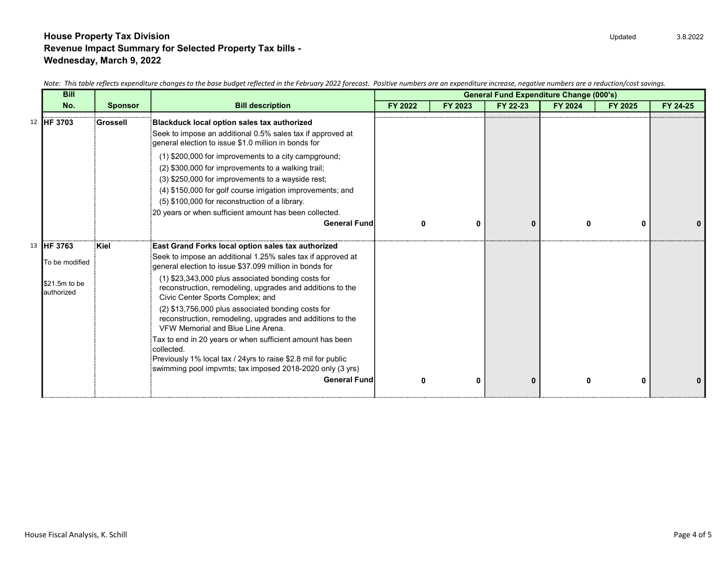| <b>Bill</b>                 |                 |                                                                                                                                                                                                                                                                                 | <b>General Fund Expenditure Change (000's)</b> |         |          |              |         |          |
|-----------------------------|-----------------|---------------------------------------------------------------------------------------------------------------------------------------------------------------------------------------------------------------------------------------------------------------------------------|------------------------------------------------|---------|----------|--------------|---------|----------|
| No.                         | <b>Sponsor</b>  | <b>Bill description</b>                                                                                                                                                                                                                                                         | FY 2022                                        | FY 2023 | FY 22-23 | FY 2024      | FY 2025 | FY 24-25 |
| 12 IHF 3703                 | <b>Grossell</b> | Blackduck local option sales tax authorized<br>Seek to impose an additional 0.5% sales tax if approved at<br>general election to issue \$1.0 million in bonds for                                                                                                               |                                                |         |          |              |         |          |
|                             |                 | (1) \$200,000 for improvements to a city campground;<br>(2) \$300,000 for improvements to a walking trail;<br>(3) \$250,000 for improvements to a wayside rest;<br>(4) \$150,000 for golf course irrigation improvements; and<br>(5) \$100,000 for reconstruction of a library. |                                                |         |          |              |         |          |
|                             |                 | 20 years or when sufficient amount has been collected.<br><b>General Fund</b>                                                                                                                                                                                                   | ŋ                                              | ŋ       | $\bf{0}$ | n            | 0       |          |
| 13 HF 3763                  | Kiel            | East Grand Forks local option sales tax authorized                                                                                                                                                                                                                              |                                                |         |          |              |         |          |
| To be modified              |                 | Seek to impose an additional 1.25% sales tax if approved at<br>general election to issue \$37.099 million in bonds for                                                                                                                                                          |                                                |         |          |              |         |          |
| \$21.5m to be<br>authorized |                 | (1) \$23,343,000 plus associated bonding costs for<br>reconstruction, remodeling, upgrades and additions to the<br>Civic Center Sports Complex; and                                                                                                                             |                                                |         |          |              |         |          |
|                             |                 | (2) \$13,756,000 plus associated bonding costs for<br>reconstruction, remodeling, upgrades and additions to the<br>VFW Memorial and Blue Line Arena.                                                                                                                            |                                                |         |          |              |         |          |
|                             |                 | Tax to end in 20 years or when sufficient amount has been<br>collected.                                                                                                                                                                                                         |                                                |         |          |              |         |          |
|                             |                 | Previously 1% local tax / 24yrs to raise \$2.8 mil for public<br>swimming pool impvmts; tax imposed 2018-2020 only (3 yrs)                                                                                                                                                      |                                                |         |          |              |         |          |
|                             |                 | <b>General Fund</b>                                                                                                                                                                                                                                                             | ŋ                                              | ŋ       | $\bf{0}$ | <sup>0</sup> | 0       |          |